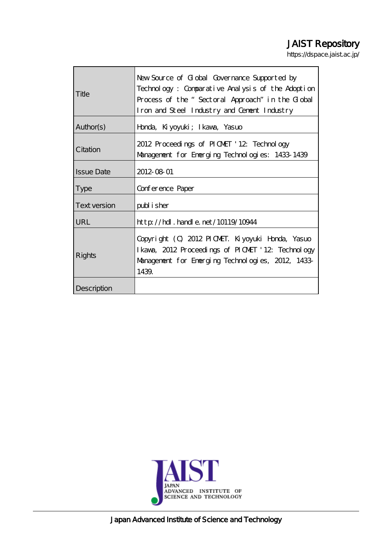# JAIST Repository

https://dspace.jaist.ac.jp/

| Title               | New Source of Global Governance Supported by                                             |
|---------------------|------------------------------------------------------------------------------------------|
|                     | Technology: Comparative Analysis of the Adoption                                         |
|                     | Process of the "Sectoral Approach" in the Clobal                                         |
|                     | Iron and Steel Industry and Cement Industry                                              |
| Author(s)           | Honda, Kiyoyuki; Ikawa, Yasuo                                                            |
| Citation            | 2012 Proceedings of PIONET '12 Technology                                                |
|                     | Management for Emerging Technologies: 1433-1439                                          |
| <b>Issue Date</b>   | 2012-08-01                                                                               |
| <b>Type</b>         | Conference Paper                                                                         |
| <b>Text version</b> | publisher                                                                                |
| URL                 | $\frac{1}{2}$ // $\frac{1}{2}$ // $\frac{1}{2}$ . $\frac{1}{2}$ and e. net / 10119/10944 |
| Rights              | Copyright (C) 2012 PICMET. Kiyoyuki Honda, Yasuo                                         |
|                     | I kava, 2012 Proceedings of PICMET '12: Technology                                       |
|                     | Management for Emerging Technologies, 2012, 1433                                         |
|                     | 1439.                                                                                    |
| Description         |                                                                                          |



Japan Advanced Institute of Science and Technology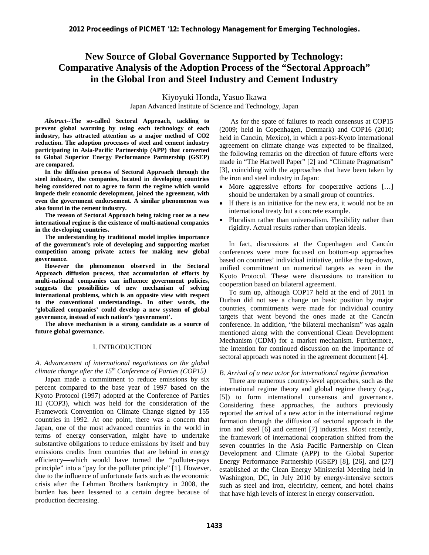# **New Source of Global Governance Supported by Technology: Comparative Analysis of the Adoption Process of the "Sectoral Approach" in the Global Iron and Steel Industry and Cement Industry**

Kiyoyuki Honda, Yasuo Ikawa Japan Advanced Institute of Science and Technology, Japan

*Abstract***--The so-called Sectoral Approach, tackling to prevent global warming by using each technology of each industry, has attracted attention as a major method of CO2 reduction. The adoption processes of steel and cement industry participating in Asia-Pacific Partnership (APP) that converted to Global Superior Energy Performance Partnership (GSEP) are compared.** 

**In the diffusion process of Sectoral Approach through the steel industry, the companies, located in developing countries being considered not to agree to form the regime which would impede their economic development, joined the agreement, with even the government endorsement. A similar phenomenon was also found in the cement industry.** 

**The reason of Sectoral Approach being taking root as a new international regime is the existence of multi-national companies in the developing countries.** 

**The understanding by traditional model implies importance of the government's role of developing and supporting market competition among private actors for making new global governance.** 

**However the phenomenon observed in the Sectoral Approach diffusion process, that accumulation of efforts by multi-national companies can influence government policies, suggests the possibilities of new mechanism of solving international problems, which is an opposite view with respect to the conventional understandings. In other words, the 'globalized companies' could develop a new system of global governance, instead of each nation's 'government'.** 

**The above mechanism is a strong candidate as a source of future global governance.** 

# I. INTRODUCTION

*A. Advancement of international negotiations on the global climate change after the 15th Conference of Parties (COP15)* 

Japan made a commitment to reduce emissions by six percent compared to the base year of 1997 based on the Kyoto Protocol (1997) adopted at the Conference of Parties III (COP3), which was held for the consideration of the Framework Convention on Climate Change signed by 155 countries in 1992. At one point, there was a concern that Japan, one of the most advanced countries in the world in terms of energy conservation, might have to undertake substantive obligations to reduce emissions by itself and buy emissions credits from countries that are behind in energy efficiency—which would have turned the "polluter-pays principle" into a "pay for the polluter principle" [1]. However, due to the influence of unfortunate facts such as the economic crisis after the Lehman Brothers bankruptcy in 2008, the burden has been lessened to a certain degree because of production decreasing.

 As for the spate of failures to reach consensus at COP15 (2009; held in Copenhagen, Denmark) and COP16 (2010; held in Cancún, Mexico), in which a post-Kyoto international agreement on climate change was expected to be finalized, the following remarks on the direction of future efforts were made in "The Hartwell Paper" [2] and "Climate Pragmatism" [3], coinciding with the approaches that have been taken by the iron and steel industry in Japan:

- More aggressive efforts for cooperative actions [...] should be undertaken by a small group of countries.
- If there is an initiative for the new era, it would not be an international treaty but a concrete example.
- Pluralism rather than universalism. Flexibility rather than rigidity. Actual results rather than utopian ideals.

In fact, discussions at the Copenhagen and Cancún conferences were more focused on bottom-up approaches based on countries' individual initiative, unlike the top-down, unified commitment on numerical targets as seen in the Kyoto Protocol. These were discussions to transition to cooperation based on bilateral agreement.

To sum up, although COP17 held at the end of 2011 in Durban did not see a change on basic position by major countries, commitments were made for individual country targets that went beyond the ones made at the Cancún conference. In addition, "the bilateral mechanism" was again mentioned along with the conventional Clean Development Mechanism (CDM) for a market mechanism. Furthermore, the intention for continued discussion on the importance of sectoral approach was noted in the agreement document [4].

# *B. Arrival of a new actor for international regime formation*

There are numerous country-level approaches, such as the international regime theory and global regime theory (e.g., [5]) to form international consensus and governance. Considering these approaches, the authors previously reported the arrival of a new actor in the international regime formation through the diffusion of sectoral approach in the iron and steel [6] and cement [7] industries. Most recently, the framework of international cooperation shifted from the seven countries in the Asia Pacific Partnership on Clean Development and Climate (APP) to the Global Superior Energy Performance Partnership (GSEP) [8], [26], and [27] established at the Clean Energy Ministerial Meeting held in Washington, DC, in July 2010 by energy-intensive sectors such as steel and iron, electricity, cement, and hotel chains that have high levels of interest in energy conservation.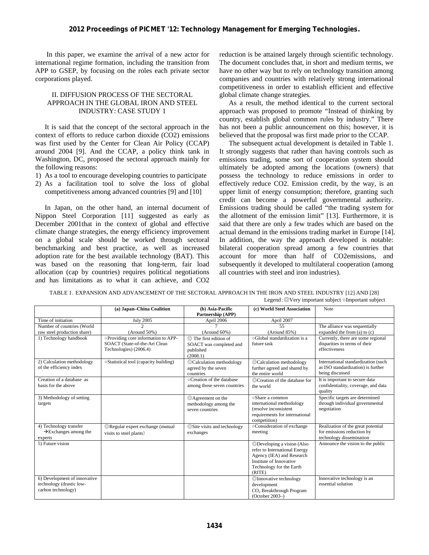In this paper, we examine the arrival of a new actor for international regime formation, including the transition from APP to GSEP, by focusing on the roles each private sector corporations played.

# II. DIFFUSION PROCESS OF THE SECTORAL APPROACH IN THE GLOBAL IRON AND STEEL INDUSTRY: CASE STUDY 1

It is said that the concept of the sectoral approach in the context of efforts to reduce carbon dioxide (CO2) emissions was first used by the Center for Clean Air Policy (CCAP) around 2004 [9]. And the CCAP, a policy think tank in Washington, DC, proposed the sectoral approach mainly for the following reasons:

- 1) As a tool to encourage developing countries to participate
- 2) As a facilitation tool to solve the loss of global competitiveness among advanced countries [9] and [10]

In Japan, on the other hand, an internal document of Nippon Steel Corporation [11] suggested as early as December 2001that in the context of global and effective climate change strategies, the energy efficiency improvement on a global scale should be worked through sectoral benchmarking and best practice, as well as increased adoption rate for the best available technology (BAT). This was based on the reasoning that long-term, fair load allocation (cap by countries) requires political negotiations and has limitations as to what it can achieve, and CO2 reduction is be attained largely through scientific technology. The document concludes that, in short and medium terms, we have no other way but to rely on technology transition among companies and countries with relatively strong international competitiveness in order to establish efficient and effective global climate change strategies.

As a result, the method identical to the current sectoral approach was proposed to promote "Instead of thinking by country, establish global common rules by industry." There has not been a public announcement on this; however, it is believed that the proposal was first made prior to the CCAP.

The subsequent actual development is detailed in Table 1. It strongly suggests that rather than having controls such as emissions trading, some sort of cooperation system should ultimately be adopted among the locations (owners) that possess the technology to reduce emissions in order to effectively reduce CO2. Emission credit, by the way, is an upper limit of energy consumption; therefore, granting such credit can become a powerful governmental authority. Emissions trading should be called "the trading system for the allotment of the emission limit" [13]. Furthermore, it is said that there are only a few trades which are based on the actual demand in the emissions trading market in Europe [14]. In addition, the way the approach developed is notable: bilateral cooperation spread among a few countries that account for more than half of CO2emissions, and subsequently it developed to multilateral cooperation (among all countries with steel and iron industries).

|  | TABLE 1. EXPANSION AND ADVANCEMENT OF THE SECTORAL APPROACH IN THE IRON AND STEEL INDUSTRY [12] AND [28] |
|--|----------------------------------------------------------------------------------------------------------|
|--|----------------------------------------------------------------------------------------------------------|

|                                                                                | Legend: $\odot$ Very important subject $\circ$ Important subject                               |                                                                                         |                                                                                                                                                           |                                                                                              |  |
|--------------------------------------------------------------------------------|------------------------------------------------------------------------------------------------|-----------------------------------------------------------------------------------------|-----------------------------------------------------------------------------------------------------------------------------------------------------------|----------------------------------------------------------------------------------------------|--|
|                                                                                | (a) Japan-China Coalition                                                                      | (b) Asia-Pacific<br>Partnership (APP)                                                   | (c) World Steel Association                                                                                                                               | Note                                                                                         |  |
| Time of initiation                                                             | <b>July 2005</b>                                                                               | April 2006                                                                              | April 2007                                                                                                                                                |                                                                                              |  |
| Number of countries (World<br>raw steel production share)                      | $\mathcal{D}$<br>$(Around 50\%)$                                                               | $(Around 60\%)$                                                                         | 55<br>(Around 85%)                                                                                                                                        | The alliance was sequentially<br>expanded the from (a) to (c)                                |  |
| 1) Technology handbook                                                         | oProviding core information to APP-<br>SOACT (State-of-the-Art Clean<br>Technologies) (2006.4) | $\circledcirc$ The first edition of<br>SOACT was completed and<br>published<br>(2008.1) | ○Global standardization is a<br>future task                                                                                                               | Currently, there are some regional<br>disparities in terms of their<br>effectiveness         |  |
| 2) Calculation methodology<br>of the efficiency index                          | ○Statistical tool (capacity building)                                                          | ©Calculation methodology<br>agreed by the seven<br>countries                            | ©Calculation methodology<br>further agreed and shared by<br>the entire world                                                                              | International standardization (such<br>as ISO standardization) is further<br>being discussed |  |
| Creation of a database as<br>basis for the above                               |                                                                                                | ○Creation of the database<br>among those seven countries                                | ©Creation of the database for<br>the world                                                                                                                | It is important to secure data<br>confidentiality, coverage, and data<br>quality             |  |
| 3) Methodology of setting<br>targets                                           |                                                                                                | ©Agreement on the<br>methodology among the<br>seven countries                           | oShare a common<br>international methodology<br>(resolve inconsistent)<br>requirements for international<br>competition)                                  | Specific targets are determined<br>through individual governmental<br>negotiation            |  |
| 4) Technology transfer<br>$\rightarrow$ Exchanges among the<br>experts         | ©Regular expert exchange (mutual<br>visits to steel plants)                                    | ©Site visits and technology<br>exchanges                                                | ○Consideration of exchange<br>meeting                                                                                                                     | Realization of the great potential<br>for emissions reduction by<br>technology dissemination |  |
| 5) Future vision                                                               |                                                                                                |                                                                                         | ©Developing a vision (Also<br>refer to International Energy<br>Agency (IEA) and Research<br>Institute of Innovative<br>Technology for the Earth<br>(RITE) | Announce the vision to the public                                                            |  |
| 6) Development of innovative<br>technology (drastic low-<br>carbon technology) |                                                                                                |                                                                                         | ©Innovative technology<br>development<br>CO <sub>2</sub> Breakthrough Program<br>$(October 2003-)$                                                        | Innovative technology is an<br>essential solution                                            |  |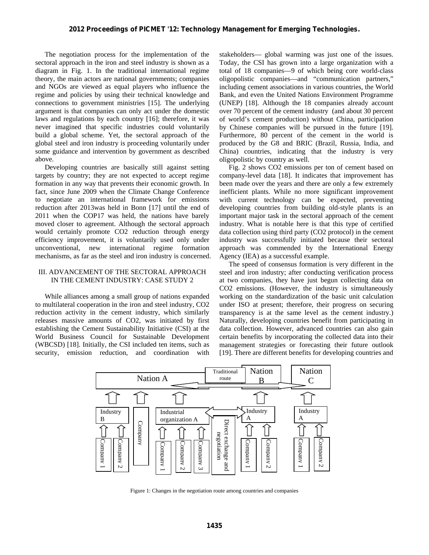# **2012 Proceedings of PICMET '12: Technology Management for Emerging Technologies.**

The negotiation process for the implementation of the sectoral approach in the iron and steel industry is shown as a diagram in Fig. 1. In the traditional international regime theory, the main actors are national governments; companies and NGOs are viewed as equal players who influence the regime and policies by using their technical knowledge and connections to government ministries [15]. The underlying argument is that companies can only act under the domestic laws and regulations by each country [16]; therefore, it was never imagined that specific industries could voluntarily build a global scheme. Yet, the sectoral approach of the global steel and iron industry is proceeding voluntarily under some guidance and intervention by government as described above.

Developing countries are basically still against setting targets by country; they are not expected to accept regime formation in any way that prevents their economic growth. In fact, since June 2009 when the Climate Change Conference to negotiate an international framework for emissions reduction after 2013was held in Bonn [17] until the end of 2011 when the COP17 was held, the nations have barely moved closer to agreement. Although the sectoral approach would certainly promote CO2 reduction through energy efficiency improvement, it is voluntarily used only under unconventional, new international regime formation mechanisms, as far as the steel and iron industry is concerned.

# III. ADVANCEMENT OF THE SECTORAL APPROACH IN THE CEMENT INDUSTRY: CASE STUDY 2

While alliances among a small group of nations expanded to multilateral cooperation in the iron and steel industry, CO2 reduction activity in the cement industry, which similarly releases massive amounts of CO2, was initiated by first establishing the Cement Sustainability Initiative (CSI) at the World Business Council for Sustainable Development (WBCSD) [18]. Initially, the CSI included ten items, such as security, emission reduction, and coordination with

stakeholders— global warming was just one of the issues. Today, the CSI has grown into a large organization with a total of 18 companies—9 of which being core world-class oligopolistic companies—and "communication partners," including cement associations in various countries, the World Bank, and even the United Nations Environment Programme (UNEP) [18]. Although the 18 companies already account over 70 percent of the cement industry (and about 30 percent of world's cement production) without China, participation by Chinese companies will be pursued in the future [19]. Furthermore, 80 percent of the cement in the world is produced by the G8 and BRIC (Brazil, Russia, India, and China) countries, indicating that the industry is very oligopolistic by country as well.

Fig. 2 shows CO2 emissions per ton of cement based on company-level data [18]. It indicates that improvement has been made over the years and there are only a few extremely inefficient plants. While no more significant improvement with current technology can be expected, preventing developing countries from building old-style plants is an important major task in the sectoral approach of the cement industry. What is notable here is that this type of certified data collection using third party (CO2 protocol) in the cement industry was successfully initiated because their sectoral approach was commended by the International Energy Agency (IEA) as a successful example.

The speed of consensus formation is very different in the steel and iron industry; after conducting verification process at two companies, they have just begun collecting data on CO2 emissions. (However, the industry is simultaneously working on the standardization of the basic unit calculation under ISO at present; therefore, their progress on securing transparency is at the same level as the cement industry.) Naturally, developing countries benefit from participating in data collection. However, advanced countries can also gain certain benefits by incorporating the collected data into their management strategies or forecasting their future outlook [19]. There are different benefits for developing countries and

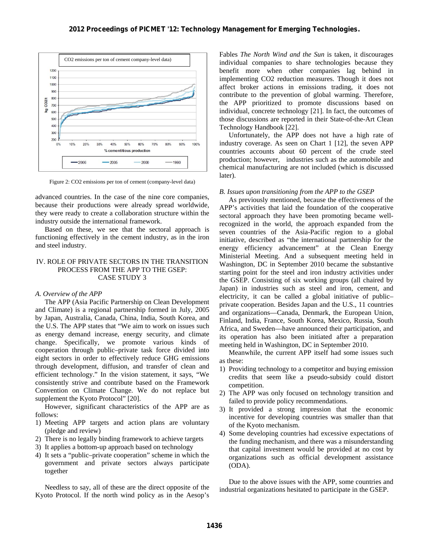

Figure 2: CO2 emissions per ton of cement (company-level data)

advanced countries. In the case of the nine core companies, because their productions were already spread worldwide, they were ready to create a collaboration structure within the industry outside the international framework.

Based on these, we see that the sectoral approach is functioning effectively in the cement industry, as in the iron and steel industry.

# IV. ROLE OF PRIVATE SECTORS IN THE TRANSITION PROCESS FROM THE APP TO THE GSEP: CASE STUDY 3

#### *A. Overview of the APP*

The APP (Asia Pacific Partnership on Clean Development and Climate) is a regional partnership formed in July, 2005 by Japan, Australia, Canada, China, India, South Korea, and the U.S. The APP states that "We aim to work on issues such as energy demand increase, energy security, and climate change. Specifically, we promote various kinds of cooperation through public–private task force divided into eight sectors in order to effectively reduce GHG emissions through development, diffusion, and transfer of clean and efficient technology." In the vision statement, it says, "We consistently strive and contribute based on the Framework Convention on Climate Change. We do not replace but supplement the Kyoto Protocol" [20].

However, significant characteristics of the APP are as follows:

- 1) Meeting APP targets and action plans are voluntary (pledge and review)
- 2) There is no legally binding framework to achieve targets
- 3) It applies a bottom-up approach based on technology
- 4) It sets a "public–private cooperation" scheme in which the government and private sectors always participate together

Needless to say, all of these are the direct opposite of the Kyoto Protocol. If the north wind policy as in the Aesop's Fables *The North Wind and the Sun* is taken, it discourages individual companies to share technologies because they benefit more when other companies lag behind in implementing CO2 reduction measures. Though it does not affect broker actions in emissions trading, it does not contribute to the prevention of global warming. Therefore, the APP prioritized to promote discussions based on individual, concrete technology [21]. In fact, the outcomes of those discussions are reported in their State-of-the-Art Clean Technology Handbook [22].

Unfortunately, the APP does not have a high rate of industry coverage. As seen on Chart 1 [12], the seven APP countries accounts about 60 percent of the crude steel production; however, industries such as the automobile and chemical manufacturing are not included (which is discussed later).

#### *B. Issues upon transitioning from the APP to the GSEP*

As previously mentioned, because the effectiveness of the APP's activities that laid the foundation of the cooperative sectoral approach they have been promoting became wellrecognized in the world, the approach expanded from the seven countries of the Asia-Pacific region to a global initiative, described as "the international partnership for the energy efficiency advancement" at the Clean Energy Ministerial Meeting. And a subsequent meeting held in Washington, DC in September 2010 became the substantive starting point for the steel and iron industry activities under the GSEP. Consisting of six working groups (all chaired by Japan) in industries such as steel and iron, cement, and electricity, it can be called a global initiative of public– private cooperation. Besides Japan and the U.S., 11 countries and organizations—Canada, Denmark, the European Union, Finland, India, France, South Korea, Mexico, Russia, South Africa, and Sweden—have announced their participation, and its operation has also been initiated after a preparation meeting held in Washington, DC in September 2010.

Meanwhile, the current APP itself had some issues such as these:

- 1) Providing technology to a competitor and buying emission credits that seem like a pseudo-subsidy could distort competition.
- 2) The APP was only focused on technology transition and failed to provide policy recommendations.
- 3) It provided a strong impression that the economic incentive for developing countries was smaller than that of the Kyoto mechanism.
- 4) Some developing countries had excessive expectations of the funding mechanism, and there was a misunderstanding that capital investment would be provided at no cost by organizations such as official development assistance (ODA).

Due to the above issues with the APP, some countries and industrial organizations hesitated to participate in the GSEP.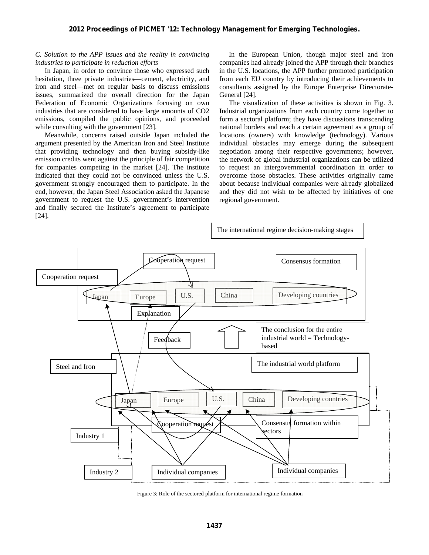# **2012 Proceedings of PICMET '12: Technology Management for Emerging Technologies.**

# *C. Solution to the APP issues and the reality in convincing industries to participate in reduction efforts*

In Japan, in order to convince those who expressed such hesitation, three private industries—cement, electricity, and iron and steel—met on regular basis to discuss emissions issues, summarized the overall direction for the Japan Federation of Economic Organizations focusing on own industries that are considered to have large amounts of CO2 emissions, compiled the public opinions, and proceeded while consulting with the government [23].

Meanwhile, concerns raised outside Japan included the argument presented by the American Iron and Steel Institute that providing technology and then buying subsidy-like emission credits went against the principle of fair competition for companies competing in the market [24]. The institute indicated that they could not be convinced unless the U.S. government strongly encouraged them to participate. In the end, however, the Japan Steel Association asked the Japanese government to request the U.S. government's intervention and finally secured the Institute's agreement to participate [24].

In the European Union, though major steel and iron companies had already joined the APP through their branches in the U.S. locations, the APP further promoted participation from each EU country by introducing their achievements to consultants assigned by the Europe Enterprise Directorate-General [24].

The visualization of these activities is shown in Fig. 3. Industrial organizations from each country come together to form a sectoral platform; they have discussions transcending national borders and reach a certain agreement as a group of locations (owners) with knowledge (technology). Various individual obstacles may emerge during the subsequent negotiation among their respective governments; however, the network of global industrial organizations can be utilized to request an intergovernmental coordination in order to overcome those obstacles. These activities originally came about because individual companies were already globalized and they did not wish to be affected by initiatives of one regional government.



Figure 3: Role of the sectored platform for international regime formation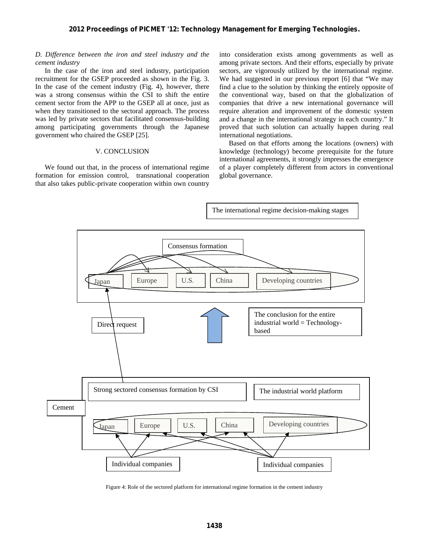# *D. Difference between the iron and steel industry and the cement industry*

In the case of the iron and steel industry, participation recruitment for the GSEP proceeded as shown in the Fig. 3. In the case of the cement industry (Fig. 4), however, there was a strong consensus within the CSI to shift the entire cement sector from the APP to the GSEP all at once, just as when they transitioned to the sectoral approach. The process was led by private sectors that facilitated consensus-building among participating governments through the Japanese government who chaired the GSEP [25].

#### V. CONCLUSION

We found out that, in the process of international regime formation for emission control, transnational cooperation that also takes public-private cooperation within own country

into consideration exists among governments as well as among private sectors. And their efforts, especially by private sectors, are vigorously utilized by the international regime. We had suggested in our previous report [6] that "We may find a clue to the solution by thinking the entirely opposite of the conventional way, based on that the globalization of companies that drive a new international governance will require alteration and improvement of the domestic system and a change in the international strategy in each country." It proved that such solution can actually happen during real international negotiations.

Based on that efforts among the locations (owners) with knowledge (technology) become prerequisite for the future international agreements, it strongly impresses the emergence of a player completely different from actors in conventional global governance.



Figure 4: Role of the sectored platform for international regime formation in the cement industry